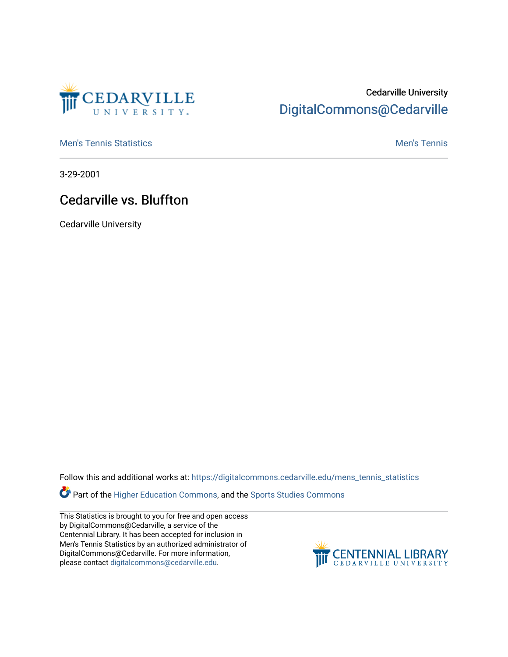

## Cedarville University [DigitalCommons@Cedarville](https://digitalcommons.cedarville.edu/)

**[Men's Tennis Statistics](https://digitalcommons.cedarville.edu/mens_tennis_statistics) Mental According to the Control of Control According Mental Men's Tennis** 

3-29-2001

## Cedarville vs. Bluffton

Cedarville University

Follow this and additional works at: [https://digitalcommons.cedarville.edu/mens\\_tennis\\_statistics](https://digitalcommons.cedarville.edu/mens_tennis_statistics?utm_source=digitalcommons.cedarville.edu%2Fmens_tennis_statistics%2F472&utm_medium=PDF&utm_campaign=PDFCoverPages)

Part of the [Higher Education Commons,](http://network.bepress.com/hgg/discipline/1245?utm_source=digitalcommons.cedarville.edu%2Fmens_tennis_statistics%2F472&utm_medium=PDF&utm_campaign=PDFCoverPages) and the Sports Studies Commons

This Statistics is brought to you for free and open access by DigitalCommons@Cedarville, a service of the Centennial Library. It has been accepted for inclusion in Men's Tennis Statistics by an authorized administrator of DigitalCommons@Cedarville. For more information, please contact [digitalcommons@cedarville.edu](mailto:digitalcommons@cedarville.edu).